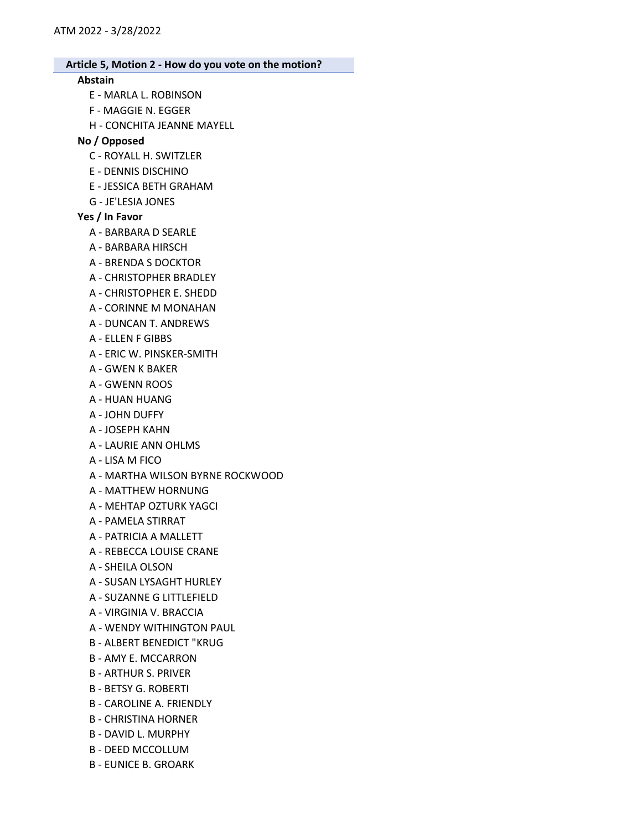### Abstain

- E MARLA L. ROBINSON
- F MAGGIE N. EGGER
- H CONCHITA JEANNE MAYELL

## No / Opposed

- C ROYALL H. SWITZLER
- E DENNIS DISCHINO
- E JESSICA BETH GRAHAM
- G JE'LESIA JONES

### Yes / In Favor

- A BARBARA D SEARLE
- A BARBARA HIRSCH
- A BRENDA S DOCKTOR
- A CHRISTOPHER BRADLEY
- A CHRISTOPHER E. SHEDD
- A CORINNE M MONAHAN
- A DUNCAN T. ANDREWS
- A ELLEN F GIBBS
- A ERIC W. PINSKER-SMITH
- A GWEN K BAKER
- A GWENN ROOS
- A HUAN HUANG
- A JOHN DUFFY
- A JOSEPH KAHN
- A LAURIE ANN OHLMS
- A LISA M FICO
- A MARTHA WILSON BYRNE ROCKWOOD
- A MATTHEW HORNUNG
- A MEHTAP OZTURK YAGCI
- A PAMELA STIRRAT
- A PATRICIA A MALLETT
- A REBECCA LOUISE CRANE
- A SHEILA OLSON
- A SUSAN LYSAGHT HURLEY
- A SUZANNE G LITTLEFIELD
- A VIRGINIA V. BRACCIA
- A WENDY WITHINGTON PAUL
- B ALBERT BENEDICT "KRUG
- B AMY E. MCCARRON
- B ARTHUR S. PRIVER
- B BETSY G. ROBERTI
- B CAROLINE A. FRIENDLY
- B CHRISTINA HORNER
- B DAVID L. MURPHY
- B DEED MCCOLLUM
- B EUNICE B. GROARK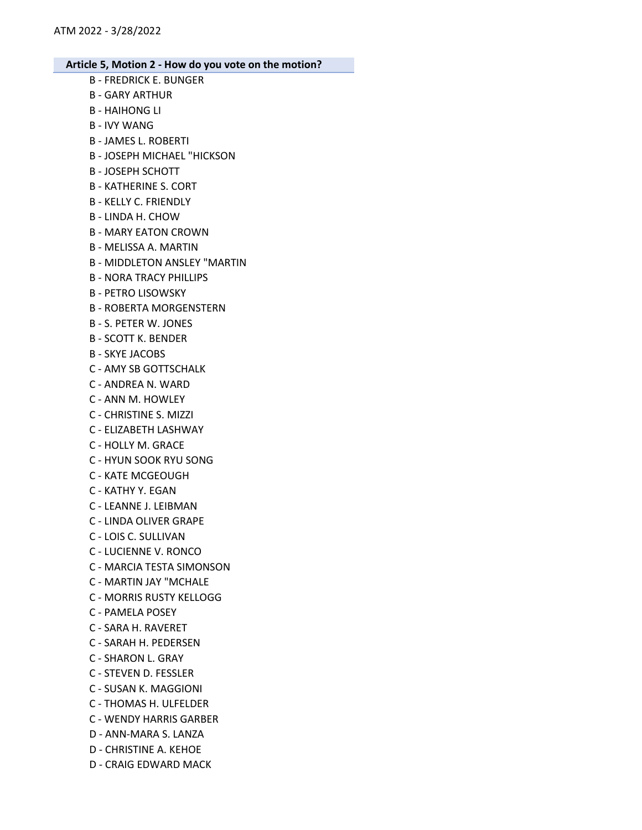- B FREDRICK E. BUNGER
- B GARY ARTHUR B - HAIHONG LI
- B IVY WANG
- B JAMES L. ROBERTI
- B JOSEPH MICHAEL "HICKSON
- B JOSEPH SCHOTT
- B KATHERINE S. CORT
- B KELLY C. FRIENDLY
- B LINDA H. CHOW
- B MARY EATON CROWN
- B MELISSA A. MARTIN
- B MIDDLETON ANSLEY "MARTIN
- B NORA TRACY PHILLIPS
- B PETRO LISOWSKY
- B ROBERTA MORGENSTERN
- B S. PETER W. JONES
- B SCOTT K. BENDER
- B SKYE JACOBS
- C AMY SB GOTTSCHALK
- C ANDREA N. WARD
- C ANN M. HOWLEY
- C CHRISTINE S. MIZZI
- C ELIZABETH LASHWAY
- C HOLLY M. GRACE
- C HYUN SOOK RYU SONG
- C KATE MCGEOUGH
- C KATHY Y. EGAN
- C LEANNE J. LEIBMAN
- C LINDA OLIVER GRAPE
- C LOIS C. SULLIVAN
- C LUCIENNE V. RONCO
- C MARCIA TESTA SIMONSON
- C MARTIN JAY "MCHALE
- C MORRIS RUSTY KELLOGG
- C PAMELA POSEY
- C SARA H. RAVERET
- C SARAH H. PEDERSEN
- C SHARON L. GRAY
- C STEVEN D. FESSLER
- C SUSAN K. MAGGIONI
- C THOMAS H. ULFELDER
- C WENDY HARRIS GARBER
- D ANN-MARA S. LANZA
- D CHRISTINE A. KEHOE
- D CRAIG EDWARD MACK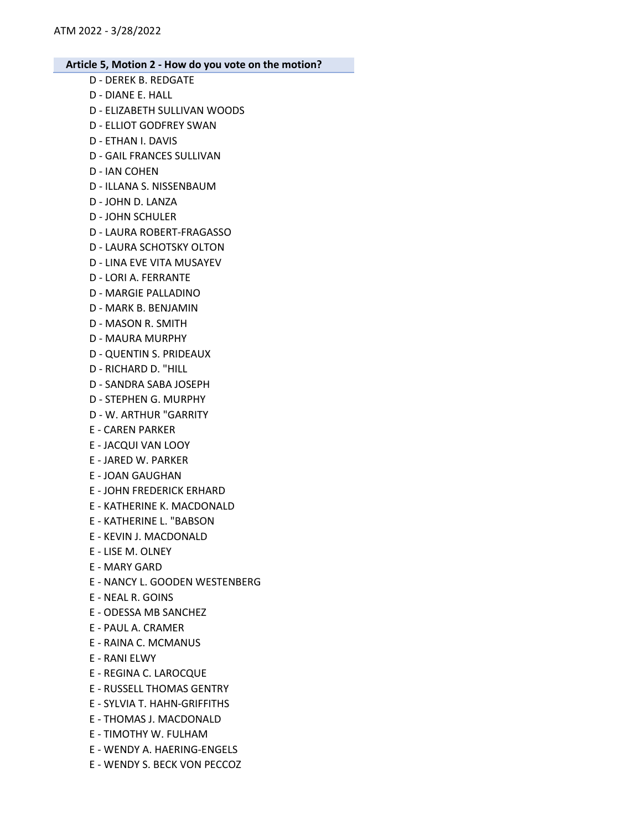- D DEREK B. REDGATE
- D DIANE E. HALL
- D ELIZABETH SULLIVAN WOODS
- D ELLIOT GODFREY SWAN
- D ETHAN I. DAVIS
- D GAIL FRANCES SULLIVAN
- D IAN COHEN
- D ILLANA S. NISSENBAUM
- D JOHN D. LANZA
- D JOHN SCHULER
- D LAURA ROBERT-FRAGASSO
- D LAURA SCHOTSKY OLTON
- D LINA EVE VITA MUSAYEV
- D LORI A. FERRANTE
- D MARGIE PALLADINO
- D MARK B. BENJAMIN
- D MASON R. SMITH
- D MAURA MURPHY
- D QUENTIN S. PRIDEAUX
- D RICHARD D. "HILL
- D SANDRA SABA JOSEPH
- D STEPHEN G. MURPHY
- D W. ARTHUR "GARRITY
- E CAREN PARKER
- E JACQUI VAN LOOY
- E JARED W. PARKER
- E JOAN GAUGHAN
- E JOHN FREDERICK ERHARD
- E KATHERINE K. MACDONALD
- E KATHERINE L. "BABSON
- E KEVIN J. MACDONALD
- E LISE M. OLNEY
- E MARY GARD
- E NANCY L. GOODEN WESTENBERG
- E NEAL R. GOINS
- E ODESSA MB SANCHEZ
- E PAUL A. CRAMER
- E RAINA C. MCMANUS
- E RANI ELWY
- E REGINA C. LAROCQUE
- E RUSSELL THOMAS GENTRY
- E SYLVIA T. HAHN-GRIFFITHS
- E THOMAS J. MACDONALD
- E TIMOTHY W. FULHAM
- E WENDY A. HAERING-ENGELS
- E WENDY S. BECK VON PECCOZ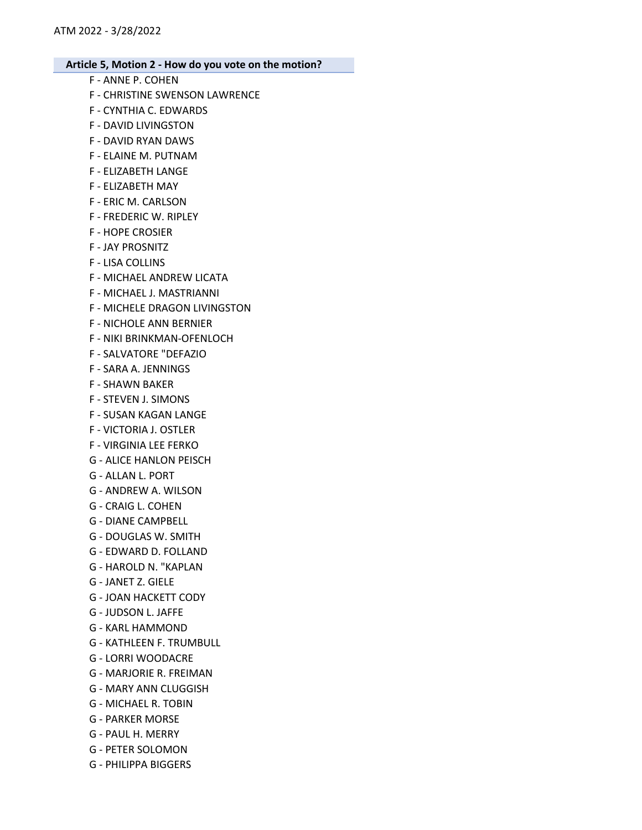- F ANNE P. COHEN
- F CHRISTINE SWENSON LAWRENCE
- F CYNTHIA C. EDWARDS
- F DAVID LIVINGSTON
- F DAVID RYAN DAWS
- F ELAINE M. PUTNAM
- F ELIZABETH LANGE
- F ELIZABETH MAY
- F ERIC M. CARLSON
- F FREDERIC W. RIPLEY
- F HOPE CROSIER
- F JAY PROSNITZ
- F LISA COLLINS
- F MICHAEL ANDREW LICATA
- F MICHAEL J. MASTRIANNI
- F MICHELE DRAGON LIVINGSTON
- F NICHOLE ANN BERNIER
- F NIKI BRINKMAN-OFENLOCH
- F SALVATORE "DEFAZIO
- F SARA A. JENNINGS
- F SHAWN BAKER
- F STEVEN J. SIMONS
- F SUSAN KAGAN LANGE
- F VICTORIA J. OSTLER
- F VIRGINIA LEE FERKO
- G ALICE HANLON PEISCH
- G ALLAN L. PORT
- G ANDREW A. WILSON
- G CRAIG L. COHEN
- G DIANE CAMPBELL
- G DOUGLAS W. SMITH
- G EDWARD D. FOLLAND
- G HAROLD N. "KAPLAN
- G JANET Z. GIELE
- G JOAN HACKETT CODY
- G JUDSON L. JAFFE
- G KARL HAMMOND
- G KATHLEEN F. TRUMBULL
- G LORRI WOODACRE
- G MARJORIE R. FREIMAN
- G MARY ANN CLUGGISH
- G MICHAEL R. TOBIN
- G PARKER MORSE
- G PAUL H. MERRY
- G PETER SOLOMON
- G PHILIPPA BIGGERS